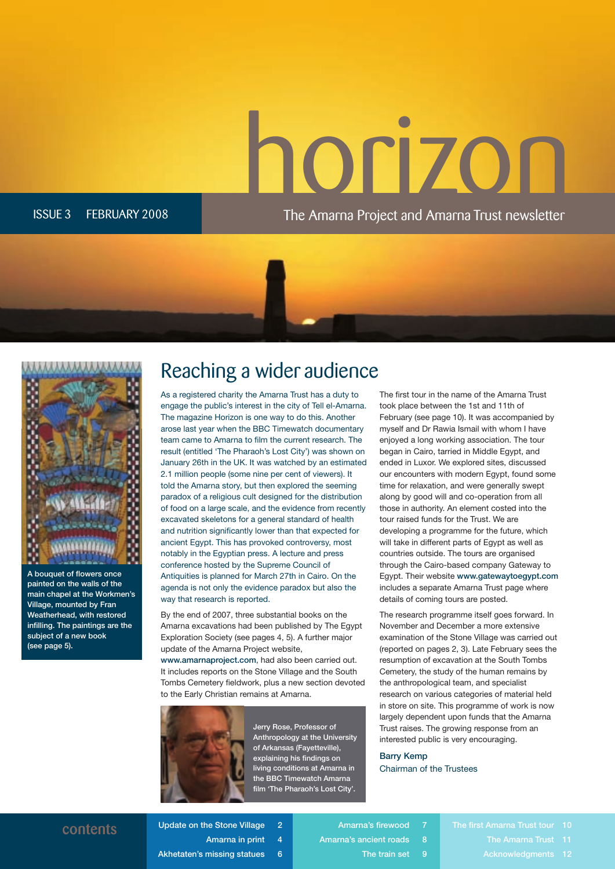The Amarna Project and Amarna Trust newsletter The Amarna Project and Amar na Trust ne wsletter

ISSUE 3 FEBRUARY 2008

#### Reaching a wider audience

As a registered charity the Amarna Trust has a duty to engage the public's interest in the city of Tell el-Amarna. The magazine Horizon is one way to do this. Another arose last year when the BBC Timewatch documentary team came to Amarna to film the current research. The result (entitled 'The Pharaoh's Lost City') was shown on January 26th in the UK. It was watched by an estimated 2.1 million people (some nine per cent of viewers). It told the Amarna story, but then explored the seeming paradox of a religious cult designed for the distribution of food on a large scale, and the evidence from recently excavated skeletons for a general standard of health and nutrition significantly lower than that expected for ancient Egypt. This has provoked controversy, most notably in the Egyptian press. A lecture and press conference hosted by the Supreme Council of Antiquities is planned for March 27th in Cairo. On the agenda is not only the evidence paradox but also the way that research is reported.

By the end of 2007, three substantial books on the Amarna excavations had been published by The Egypt Exploration Society (see pages 4, 5). A further major update of the Amarna Project website, www.amarnaproject.com, had also been carried out. It includes reports on the Stone Village and the South Tombs Cemetery fieldwork, plus a new section devoted to the Early Christian remains at Amarna.



Jerry Rose, Professor of Anthropology at the University of Arkansas (Fayetteville), explaining his findings on living conditions at Amarna in the BBC Timewatch Amarna film 'The Pharaoh's Lost City'.

The first tour in the name of the Amarna Trust took place between the 1st and 11th of February (see page 10). It was accompanied by myself and Dr Rawia Ismail with whom I have enjoyed a long working association. The tour began in Cairo, tarried in Middle Egypt, and ended in Luxor. We explored sites, discussed our encounters with modern Egypt, found some time for relaxation, and were generally swept along by good will and co-operation from all those in authority. An element costed into the tour raised funds for the Trust. We are developing a programme for the future, which will take in different parts of Egypt as well as countries outside. The tours are organised through the Cairo-based company Gateway to Egypt. Their website www.gatewaytoegypt.com includes a separate Amarna Trust page where details of coming tours are posted.

The research programme itself goes forward. In November and December a more extensive examination of the Stone Village was carried out (reported on pages 2, 3). Late February sees the resumption of excavation at the South Tombs Cemetery, the study of the human remains by the anthropological team, and specialist research on various categories of material held in store on site. This programme of work is now largely dependent upon funds that the Amarna Trust raises. The growing response from an interested public is very encouraging.

Barry Kemp Chairman of the Trustees

**contents** Update on the Stone Village 2 Amarna in print 4 Akhetaten's missing statues 6 Amarna's firewood 7

Amarna's ancient roads 8 The train set 9

The first Amarna Trust tour 10 Acknowledgments 12



A bouquet of flowers once painted on the walls of the main chapel at the Workmen's Village, mounted by Fran Weatherhead, with restored infilling. The paintings are the subject of a new book (see page 5).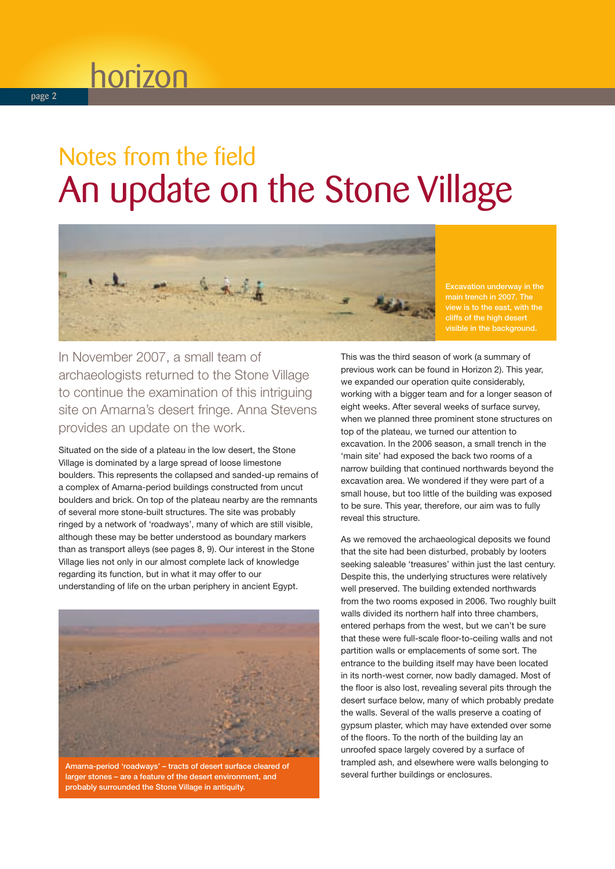### Notes from the field An update on the Stone Village



cliffs of the high desert visible in the background.

In November 2007, a small team of archaeologists returned to the Stone Village to continue the examination of this intriguing site on Amarna's desert fringe. Anna Stevens provides an update on the work.

Situated on the side of a plateau in the low desert, the Stone Village is dominated by a large spread of loose limestone boulders. This represents the collapsed and sanded-up remains of a complex of Amarna-period buildings constructed from uncut boulders and brick. On top of the plateau nearby are the remnants of several more stone-built structures. The site was probably ringed by a network of 'roadways', many of which are still visible, although these may be better understood as boundary markers than as transport alleys (see pages 8, 9). Our interest in the Stone Village lies not only in our almost complete lack of knowledge regarding its function, but in what it may offer to our understanding of life on the urban periphery in ancient Egypt.



Amarna-period 'roadways' – tracts of desert surface cleared of larger stones – are a feature of the desert environment, and probably surrounded the Stone Village in antiquity.

This was the third season of work (a summary of previous work can be found in Horizon 2). This year, we expanded our operation quite considerably, working with a bigger team and for a longer season of eight weeks. After several weeks of surface survey, when we planned three prominent stone structures on top of the plateau, we turned our attention to excavation. In the 2006 season, a small trench in the 'main site' had exposed the back two rooms of a narrow building that continued northwards beyond the excavation area. We wondered if they were part of a small house, but too little of the building was exposed to be sure. This year, therefore, our aim was to fully reveal this structure.

As we removed the archaeological deposits we found that the site had been disturbed, probably by looters seeking saleable 'treasures' within just the last century. Despite this, the underlying structures were relatively well preserved. The building extended northwards from the two rooms exposed in 2006. Two roughly built walls divided its northern half into three chambers, entered perhaps from the west, but we can't be sure that these were full-scale floor-to-ceiling walls and not partition walls or emplacements of some sort. The entrance to the building itself may have been located in its north-west corner, now badly damaged. Most of the floor is also lost, revealing several pits through the desert surface below, many of which probably predate the walls. Several of the walls preserve a coating of gypsum plaster, which may have extended over some of the floors. To the north of the building lay an unroofed space largely covered by a surface of trampled ash, and elsewhere were walls belonging to several further buildings or enclosures.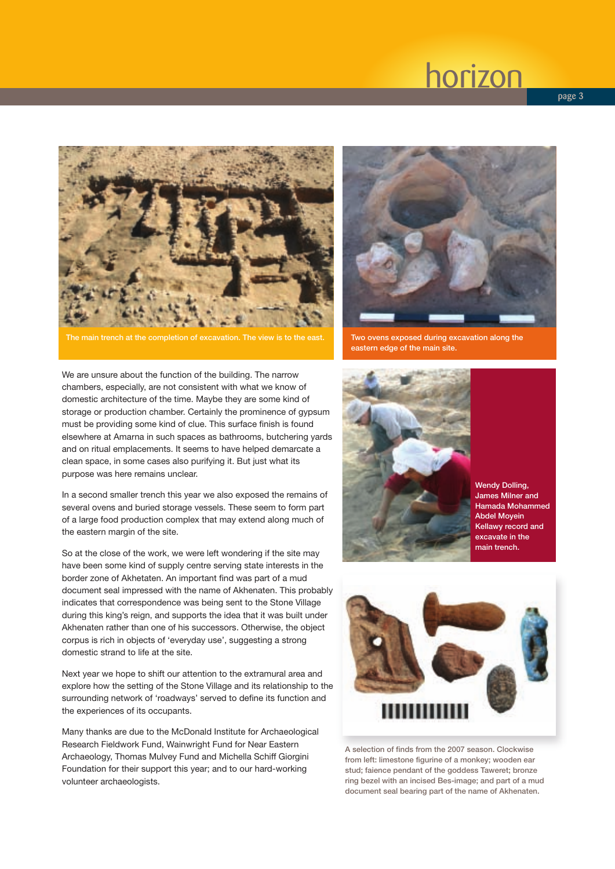

main trench at the completion of excavation. The view is to the east. Two ovens exposed during excavation along the

We are unsure about the function of the building. The narrow chambers, especially, are not consistent with what we know of domestic architecture of the time. Maybe they are some kind of storage or production chamber. Certainly the prominence of gypsum must be providing some kind of clue. This surface finish is found elsewhere at Amarna in such spaces as bathrooms, butchering yards and on ritual emplacements. It seems to have helped demarcate a clean space, in some cases also purifying it. But just what its purpose was here remains unclear.

In a second smaller trench this year we also exposed the remains of several ovens and buried storage vessels. These seem to form part of a large food production complex that may extend along much of the eastern margin of the site.

So at the close of the work, we were left wondering if the site may have been some kind of supply centre serving state interests in the border zone of Akhetaten. An important find was part of a mud document seal impressed with the name of Akhenaten. This probably indicates that correspondence was being sent to the Stone Village during this king's reign, and supports the idea that it was built under Akhenaten rather than one of his successors. Otherwise, the object corpus is rich in objects of 'everyday use', suggesting a strong domestic strand to life at the site.

Next year we hope to shift our attention to the extramural area and explore how the setting of the Stone Village and its relationship to the surrounding network of 'roadways' served to define its function and the experiences of its occupants.

Many thanks are due to the McDonald Institute for Archaeological Research Fieldwork Fund, Wainwright Fund for Near Eastern Archaeology, Thomas Mulvey Fund and Michella Schiff Giorgini Foundation for their support this year; and to our hard-working volunteer archaeologists.



eastern edge of the main site.



Wendy Dolling, James Milner and Hamada Mohammed Abdel Moyein Kellawy record and excavate in the main trench.



A selection of finds from the 2007 season. Clockwise from left: limestone figurine of a monkey; wooden ear stud; faience pendant of the goddess Taweret; bronze ring bezel with an incised Bes-image; and part of a mud document seal bearing part of the name of Akhenaten.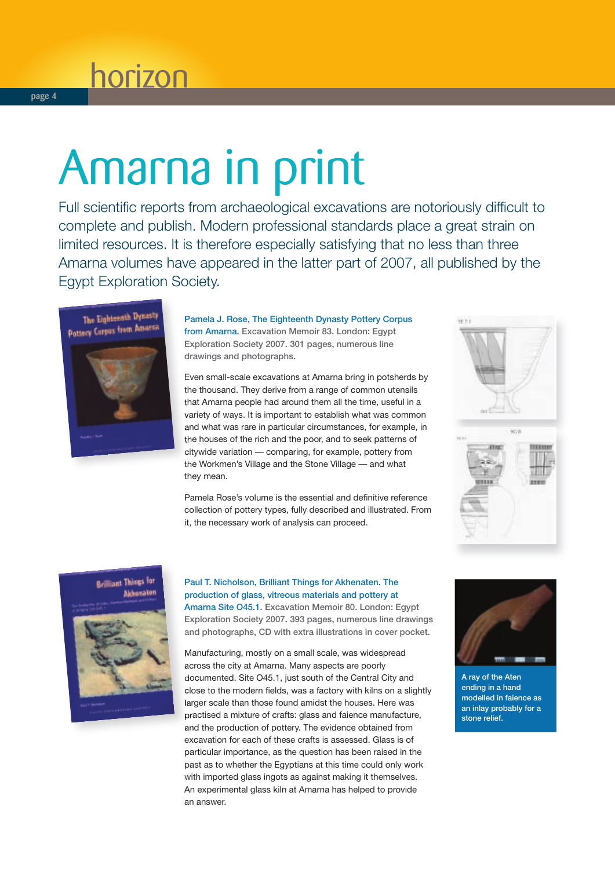# Amarna in print

Full scientific reports from archaeological excavations are notoriously difficult to complete and publish. Modern professional standards place a great strain on limited resources. It is therefore especially satisfying that no less than three Amarna volumes have appeared in the latter part of 2007, all published by the Egypt Exploration Society.



Pamela J. Rose, The Eighteenth Dynasty Pottery Corpus from Amarna. Excavation Memoir 83. London: Egypt Exploration Society 2007. 301 pages, numerous line drawings and photographs.

Even small-scale excavations at Amarna bring in potsherds by the thousand. They derive from a range of common utensils that Amarna people had around them all the time, useful in a variety of ways. It is important to establish what was common and what was rare in particular circumstances, for example, in the houses of the rich and the poor, and to seek patterns of citywide variation — comparing, for example, pottery from the Workmen's Village and the Stone Village — and what they mean.

Pamela Rose's volume is the essential and definitive reference collection of pottery types, fully described and illustrated. From it, the necessary work of analysis can proceed.







#### Paul T. Nicholson, Brilliant Things for Akhenaten. The production of glass, vitreous materials and pottery at Amarna Site O45.1. Excavation Memoir 80. London: Egypt

Exploration Society 2007. 393 pages, numerous line drawings and photographs, CD with extra illustrations in cover pocket.

Manufacturing, mostly on a small scale, was widespread across the city at Amarna. Many aspects are poorly documented. Site O45.1, just south of the Central City and close to the modern fields, was a factory with kilns on a slightly larger scale than those found amidst the houses. Here was practised a mixture of crafts: glass and faience manufacture, and the production of pottery. The evidence obtained from excavation for each of these crafts is assessed. Glass is of particular importance, as the question has been raised in the past as to whether the Egyptians at this time could only work with imported glass ingots as against making it themselves. An experimental glass kiln at Amarna has helped to provide an answer.



A ray of the Aten ending in a hand modelled in faience as an inlay probably for a stone relief.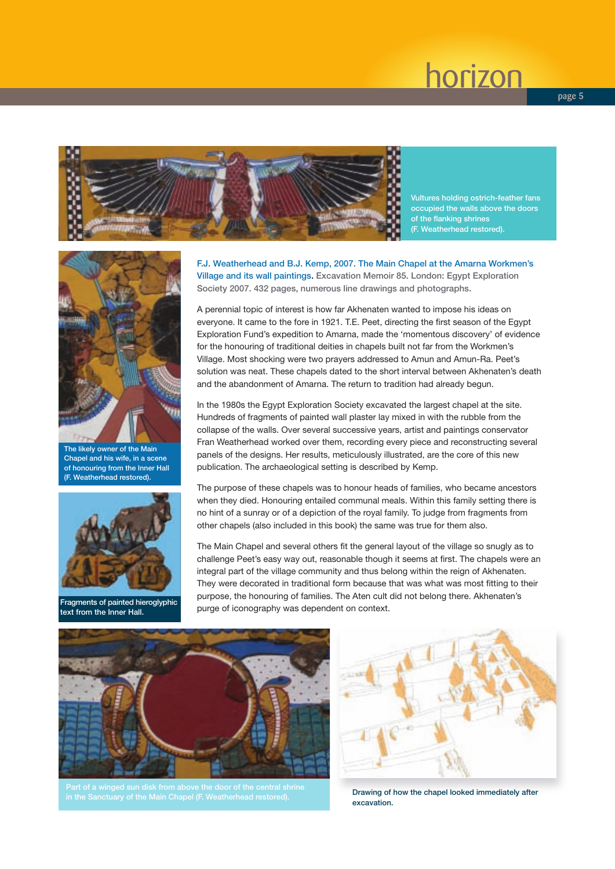

Vultures holding ostrich-feather fans occupied the walls above the doors of the flanking shrines (F. Weatherhead restored).



The likely owner of the Main Chapel and his wife, in a scene of honouring from the Inner Hall (F. Weatherhead restored).



Fragments of painted hieroglyphic text from the Inner Hall.

F.J. Weatherhead and B.J. Kemp, 2007. The Main Chapel at the Amarna Workmen's Village and its wall paintings. Excavation Memoir 85. London: Egypt Exploration Society 2007. 432 pages, numerous line drawings and photographs.

A perennial topic of interest is how far Akhenaten wanted to impose his ideas on everyone. It came to the fore in 1921. T.E. Peet, directing the first season of the Egypt Exploration Fund's expedition to Amarna, made the 'momentous discovery' of evidence for the honouring of traditional deities in chapels built not far from the Workmen's Village. Most shocking were two prayers addressed to Amun and Amun-Ra. Peet's solution was neat. These chapels dated to the short interval between Akhenaten's death and the abandonment of Amarna. The return to tradition had already begun.

In the 1980s the Egypt Exploration Society excavated the largest chapel at the site. Hundreds of fragments of painted wall plaster lay mixed in with the rubble from the collapse of the walls. Over several successive years, artist and paintings conservator Fran Weatherhead worked over them, recording every piece and reconstructing several panels of the designs. Her results, meticulously illustrated, are the core of this new publication. The archaeological setting is described by Kemp.

The purpose of these chapels was to honour heads of families, who became ancestors when they died. Honouring entailed communal meals. Within this family setting there is no hint of a sunray or of a depiction of the royal family. To judge from fragments from other chapels (also included in this book) the same was true for them also.

The Main Chapel and several others fit the general layout of the village so snugly as to challenge Peet's easy way out, reasonable though it seems at first. The chapels were an integral part of the village community and thus belong within the reign of Akhenaten. They were decorated in traditional form because that was what was most fitting to their purpose, the honouring of families. The Aten cult did not belong there. Akhenaten's purge of iconography was dependent on context.



in the Sanctuary of the Main Chapel (F. Weatherhead restored).



Drawing of how the chapel looked immediately after excavation.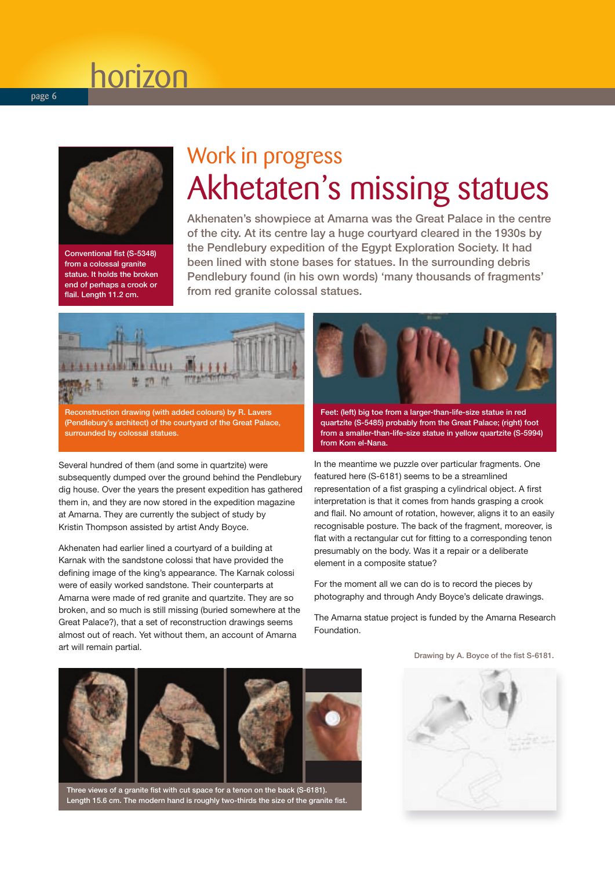

Conventional fist (S-5348) from a colossal granite statue. It holds the broken end of perhaps a crook or flail. Length 11.2 cm.

### Work in progress Akhetaten's missing statues

Akhenaten's showpiece at Amarna was the Great Palace in the centre of the city. At its centre lay a huge courtyard cleared in the 1930s by the Pendlebury expedition of the Egypt Exploration Society. It had been lined with stone bases for statues. In the surrounding debris Pendlebury found (in his own words) 'many thousands of fragments' from red granite colossal statues.



(Pendlebury's architect) of the courtyard of the Great Palace, surrounded by colossal statues.

Several hundred of them (and some in quartzite) were subsequently dumped over the ground behind the Pendlebury dig house. Over the years the present expedition has gathered them in, and they are now stored in the expedition magazine at Amarna. They are currently the subject of study by Kristin Thompson assisted by artist Andy Boyce.

Akhenaten had earlier lined a courtyard of a building at Karnak with the sandstone colossi that have provided the defining image of the king's appearance. The Karnak colossi were of easily worked sandstone. Their counterparts at Amarna were made of red granite and quartzite. They are so broken, and so much is still missing (buried somewhere at the Great Palace?), that a set of reconstruction drawings seems almost out of reach. Yet without them, an account of Amarna art will remain partial.



Feet: (left) big toe from a larger-than-life-size statue in red quartzite (S-5485) probably from the Great Palace; (right) foot from a smaller-than-life-size statue in yellow quartzite (S-5994) from Kom el-Nana.

In the meantime we puzzle over particular fragments. One featured here (S-6181) seems to be a streamlined representation of a fist grasping a cylindrical object. A first interpretation is that it comes from hands grasping a crook and flail. No amount of rotation, however, aligns it to an easily recognisable posture. The back of the fragment, moreover, is flat with a rectangular cut for fitting to a corresponding tenon presumably on the body. Was it a repair or a deliberate element in a composite statue?

For the moment all we can do is to record the pieces by photography and through Andy Boyce's delicate drawings.

The Amarna statue project is funded by the Amarna Research Foundation.

Drawing by A. Boyce of the fist S-6181.



Three views of a granite fist with cut space for a tenon on the back (S-6181). Length 15.6 cm. The modern hand is roughly two-thirds the size of the granite fist.

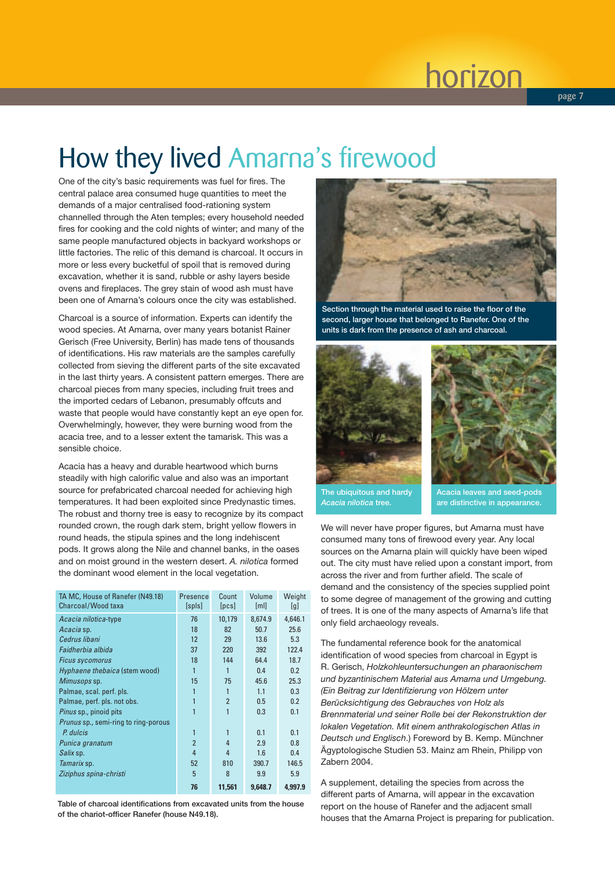**page 7**

### How they lived Amarna's firewood

One of the city's basic requirements was fuel for fires. The central palace area consumed huge quantities to meet the demands of a major centralised food-rationing system channelled through the Aten temples; every household needed fires for cooking and the cold nights of winter; and many of the same people manufactured objects in backyard workshops or little factories. The relic of this demand is charcoal. It occurs in more or less every bucketful of spoil that is removed during excavation, whether it is sand, rubble or ashy layers beside ovens and fireplaces. The grey stain of wood ash must have been one of Amarna's colours once the city was established.

Charcoal is a source of information. Experts can identify the wood species. At Amarna, over many years botanist Rainer Gerisch (Free University, Berlin) has made tens of thousands of identifications. His raw materials are the samples carefully collected from sieving the different parts of the site excavated in the last thirty years. A consistent pattern emerges. There are charcoal pieces from many species, including fruit trees and the imported cedars of Lebanon, presumably offcuts and waste that people would have constantly kept an eye open for. Overwhelmingly, however, they were burning wood from the acacia tree, and to a lesser extent the tamarisk. This was a sensible choice.

Acacia has a heavy and durable heartwood which burns steadily with high calorific value and also was an important source for prefabricated charcoal needed for achieving high temperatures. It had been exploited since Predynastic times. The robust and thorny tree is easy to recognize by its compact rounded crown, the rough dark stem, bright yellow flowers in round heads, the stipula spines and the long indehiscent pods. It grows along the Nile and channel banks, in the oases and on moist ground in the western desert. *A. nilotica* formed the dominant wood element in the local vegetation.

| TA MC, House of Ranefer (N49.18)<br>Charcoal/Wood taxa | Presence<br>$[s$ pls $]$ | Count<br>[PCs] | Volume<br>[ml] | Weight<br>[g] |
|--------------------------------------------------------|--------------------------|----------------|----------------|---------------|
| Acacia nilotica-type                                   | 76                       | 10,179         | 8,674.9        | 4,646.1       |
| Acacia sp.                                             | 18                       | 82             | 50.7           | 25.6          |
| Cedrus libani                                          | 12                       | 29             | 13.6           | 5.3           |
| Faidherbia albida                                      | 37                       | 220            | 392            | 122.4         |
| <b>Ficus sycomorus</b>                                 | 18                       | 144            | 64.4           | 18.7          |
| Hyphaene thebaica (stem wood)                          | $\mathbf{1}$             | 1              | 0.4            | 0.2           |
| Mimusops sp.                                           | 15                       | 75             | 45.6           | 25.3          |
| Palmae, scal. perf. pls.                               | 1                        | 1              | 1.1            | 0.3           |
| Palmae, perf. pls. not obs.                            | 1                        | $\overline{2}$ | 0.5            | 0.2           |
| <i>Pinus</i> sp., pinoid pits                          | 1                        |                | 0.3            | 0.1           |
| <i>Prunus</i> sp., semi-ring to ring-porous            |                          |                |                |               |
| P. dulcis                                              | 1                        |                | 0.1            | 0.1           |
| Punica granatum                                        | $\overline{2}$           | 4              | 2.9            | 0.8           |
| <i>Salix</i> sp.                                       | 4                        | 4              | 1.6            | 0.4           |
| Tamarix sp.                                            | 52                       | 810            | 390.7          | 146.5         |
| Ziziphus spina-christi                                 | 5                        | 8              | 9.9            | 5.9           |
|                                                        | 76                       | 11,561         | 9,648.7        | 4.997.9       |

Table of charcoal identifications from excavated units from the house of the chariot-officer Ranefer (house N49.18).



Section through the material used to raise the floor of the second, larger house that belonged to Ranefer. One of the units is dark from the presence of ash and charcoal.





The ubiquitous and hardy *Acacia nilotica* tree.

Acacia leaves and seed-pods are distinctive in appearance.

We will never have proper figures, but Amarna must have consumed many tons of firewood every year. Any local sources on the Amarna plain will quickly have been wiped out. The city must have relied upon a constant import, from across the river and from further afield. The scale of demand and the consistency of the species supplied point to some degree of management of the growing and cutting of trees. It is one of the many aspects of Amarna's life that only field archaeology reveals.

The fundamental reference book for the anatomical identification of wood species from charcoal in Egypt is R. Gerisch, *Holzkohleuntersuchungen an pharaonischem und byzantinischem Material aus Amarna und Umgebung. (Ein Beitrag zur Identifizierung von Hölzern unter Berücksichtigung des Gebrauches von Holz als Brennmaterial und seiner Rolle bei der Rekonstruktion der lokalen Vegetation. Mit einem anthrakologischen Atlas in Deutsch und Englisch*.) Foreword by B. Kemp. Münchner Ägyptologische Studien 53. Mainz am Rhein, Philipp von Zabern 2004.

A supplement, detailing the species from across the different parts of Amarna, will appear in the excavation report on the house of Ranefer and the adjacent small houses that the Amarna Project is preparing for publication.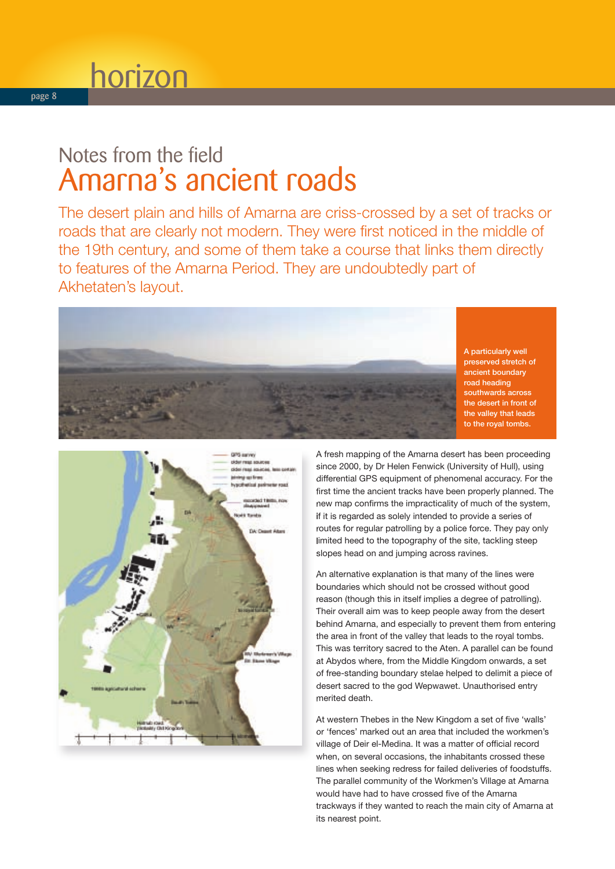### Notes from the field Amarna's ancient roads

The desert plain and hills of Amarna are criss-crossed by a set of tracks or roads that are clearly not modern. They were first noticed in the middle of the 19th century, and some of them take a course that links them directly to features of the Amarna Period. They are undoubtedly part of Akhetaten's layout.



A particularly well preserved stretch of ancient boundary road heading southwards across the desert in front of the valley that leads to the royal tombs.



A fresh mapping of the Amarna desert has been proceeding since 2000, by Dr Helen Fenwick (University of Hull), using differential GPS equipment of phenomenal accuracy. For the first time the ancient tracks have been properly planned. The new map confirms the impracticality of much of the system, if it is regarded as solely intended to provide a series of routes for regular patrolling by a police force. They pay only limited heed to the topography of the site, tackling steep slopes head on and jumping across ravines.

An alternative explanation is that many of the lines were boundaries which should not be crossed without good reason (though this in itself implies a degree of patrolling). Their overall aim was to keep people away from the desert behind Amarna, and especially to prevent them from entering the area in front of the valley that leads to the royal tombs. This was territory sacred to the Aten. A parallel can be found at Abydos where, from the Middle Kingdom onwards, a set of free-standing boundary stelae helped to delimit a piece of desert sacred to the god Wepwawet. Unauthorised entry merited death.

At western Thebes in the New Kingdom a set of five 'walls' or 'fences' marked out an area that included the workmen's village of Deir el-Medina. It was a matter of official record when, on several occasions, the inhabitants crossed these lines when seeking redress for failed deliveries of foodstuffs. The parallel community of the Workmen's Village at Amarna would have had to have crossed five of the Amarna trackways if they wanted to reach the main city of Amarna at its nearest point.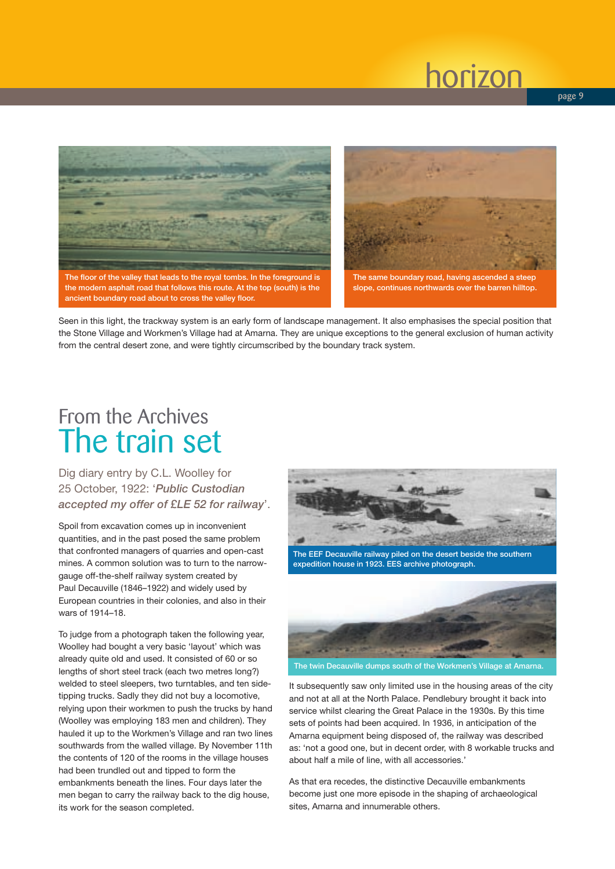

the modern asphalt road that follows this route. At the top (south) is the ancient boundary road about to cross the valley floor.



slope, continues northwards over the barren hilltop.

Seen in this light, the trackway system is an early form of landscape management. It also emphasises the special position that the Stone Village and Workmen's Village had at Amarna. They are unique exceptions to the general exclusion of human activity from the central desert zone, and were tightly circumscribed by the boundary track system.

### From the Archives The train set

Dig diary entry by C.L. Woolley for 25 October, 1922: '*Public Custodian accepted my offer of £LE 52 for railway*'.

Spoil from excavation comes up in inconvenient quantities, and in the past posed the same problem that confronted managers of quarries and open-cast mines. A common solution was to turn to the narrowgauge off-the-shelf railway system created by Paul Decauville (1846–1922) and widely used by European countries in their colonies, and also in their wars of 1914–18.

To judge from a photograph taken the following year, Woolley had bought a very basic 'layout' which was already quite old and used. It consisted of 60 or so lengths of short steel track (each two metres long?) welded to steel sleepers, two turntables, and ten sidetipping trucks. Sadly they did not buy a locomotive, relying upon their workmen to push the trucks by hand (Woolley was employing 183 men and children). They hauled it up to the Workmen's Village and ran two lines southwards from the walled village. By November 11th the contents of 120 of the rooms in the village houses had been trundled out and tipped to form the embankments beneath the lines. Four days later the men began to carry the railway back to the dig house, its work for the season completed.



The EEF Decauville railway piled on the desert beside the southern expedition house in 1923. EES archive photograph.



It subsequently saw only limited use in the housing areas of the city and not at all at the North Palace. Pendlebury brought it back into service whilst clearing the Great Palace in the 1930s. By this time sets of points had been acquired. In 1936, in anticipation of the Amarna equipment being disposed of, the railway was described as: 'not a good one, but in decent order, with 8 workable trucks and about half a mile of line, with all accessories.'

As that era recedes, the distinctive Decauville embankments become just one more episode in the shaping of archaeological sites, Amarna and innumerable others.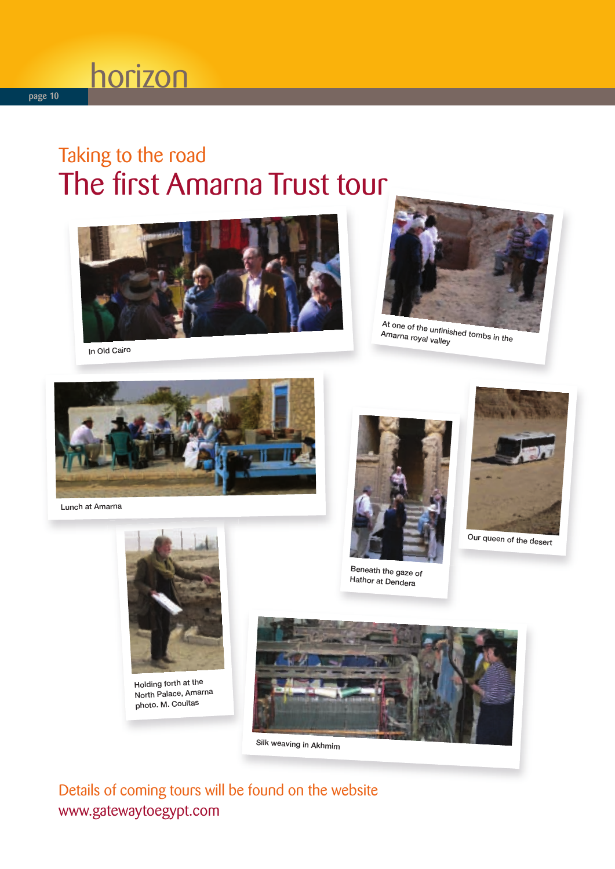### Taking to the road The first Amarna Trust tour





At one of the unfinished tombs in the Amarna royal valley

In Old Cairo



Lunch at Amarna



Beneath the gaze of Hathor at Dendera



Our queen of the desert



Holding forth at the North Palace, Amarna photo. M. Coultas



Silk weaving in Akhmim

Details of coming tours will be found on the website www.gatewaytoegypt.com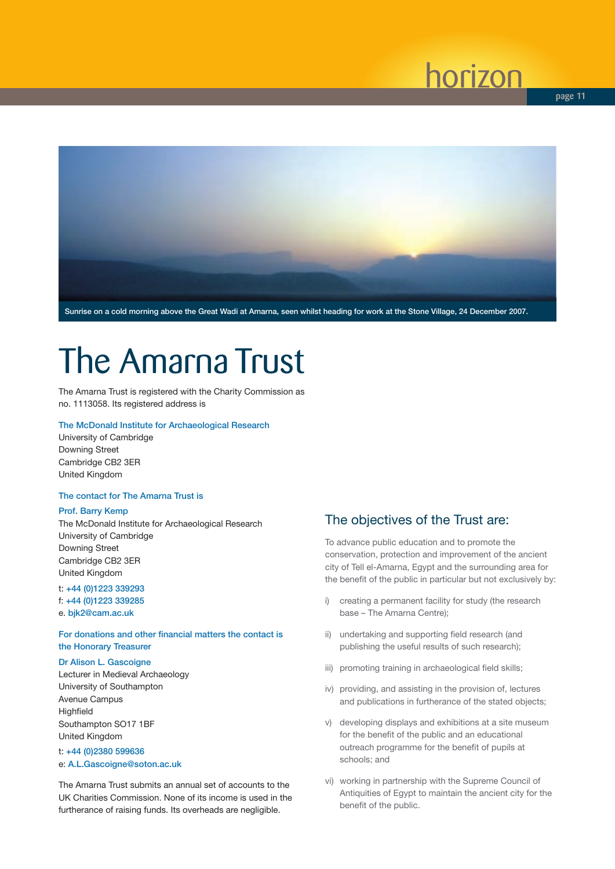**page 11**



## The Amarna Trust

The Amarna Trust is registered with the Charity Commission as no. 1113058. Its registered address is

#### The McDonald Institute for Archaeological Research

University of Cambridge Downing Street Cambridge CB2 3ER United Kingdom

#### The contact for The Amarna Trust is

#### Prof. Barry Kemp

The McDonald Institute for Archaeological Research University of Cambridge Downing Street Cambridge CB2 3ER United Kingdom

#### t: +44 (0)1223 339293 f: +44 (0)1223 339285

e. bjk2@cam.ac.uk

#### For donations and other financial matters the contact is the Honorary Treasurer

#### Dr Alison L. Gascoigne

Lecturer in Medieval Archaeology University of Southampton Avenue Campus **Highfield** Southampton SO17 1BF United Kingdom

#### t: +44 (0)2380 599636 e: A.L.Gascoigne@soton.ac.uk

The Amarna Trust submits an annual set of accounts to the UK Charities Commission. None of its income is used in the furtherance of raising funds. Its overheads are negligible.

#### The objectives of the Trust are:

To advance public education and to promote the conservation, protection and improvement of the ancient city of Tell el-Amarna, Egypt and the surrounding area for the benefit of the public in particular but not exclusively by:

- i) creating a permanent facility for study (the research base – The Amarna Centre);
- ii) undertaking and supporting field research (and publishing the useful results of such research);
- iii) promoting training in archaeological field skills;
- iv) providing, and assisting in the provision of, lectures and publications in furtherance of the stated objects;
- v) developing displays and exhibitions at a site museum for the benefit of the public and an educational outreach programme for the benefit of pupils at schools; and
- vi) working in partnership with the Supreme Council of Antiquities of Egypt to maintain the ancient city for the benefit of the public.